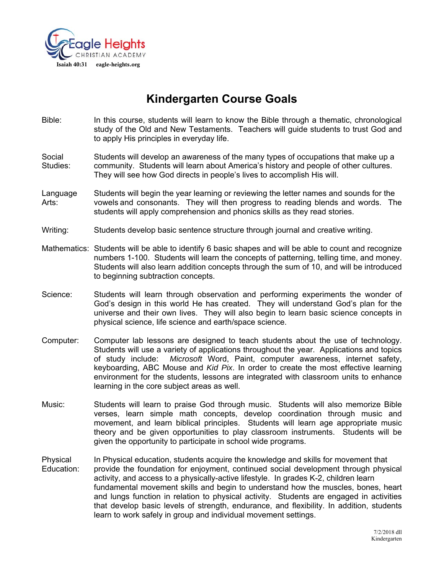

# **Kindergarten Course Goals**

Bible: In this course, students will learn to know the Bible through a thematic, chronological study of the Old and New Testaments. Teachers will guide students to trust God and to apply His principles in everyday life.

Social Students will develop an awareness of the many types of occupations that make up a Studies: community. Students will learn about America's history and people of other cultures. They will see how God directs in people's lives to accomplish His will.

- Language Students will begin the year learning or reviewing the letter names and sounds for the Arts: vowels and consonants. They will then progress to reading blends and words. The students will apply comprehension and phonics skills as they read stories.
- Writing: Students develop basic sentence structure through journal and creative writing.
- Mathematics: Students will be able to identify 6 basic shapes and will be able to count and recognize numbers 1-100. Students will learn the concepts of patterning, telling time, and money. Students will also learn addition concepts through the sum of 10, and will be introduced to beginning subtraction concepts.
- Science: Students will learn through observation and performing experiments the wonder of God's design in this world He has created. They will understand God's plan for the universe and their own lives. They will also begin to learn basic science concepts in physical science, life science and earth/space science.
- Computer: Computer lab lessons are designed to teach students about the use of technology. Students will use a variety of applications throughout the year. Applications and topics of study include: *Microsoft* Word, Paint, computer awareness, internet safety, keyboarding, ABC Mouse and *Kid Pix*. In order to create the most effective learning environment for the students, lessons are integrated with classroom units to enhance learning in the core subject areas as well.
- Music: Students will learn to praise God through music. Students will also memorize Bible verses, learn simple math concepts, develop coordination through music and movement, and learn biblical principles. Students will learn age appropriate music theory and be given opportunities to play classroom instruments. Students will be given the opportunity to participate in school wide programs.
- Physical In Physical education, students acquire the knowledge and skills for movement that Education: provide the foundation for enjoyment, continued social development through physical activity, and access to a physically-active lifestyle. In grades K-2, children learn fundamental movement skills and begin to understand how the muscles, bones, heart and lungs function in relation to physical activity. Students are engaged in activities that develop basic levels of strength, endurance, and flexibility. In addition, students learn to work safely in group and individual movement settings.